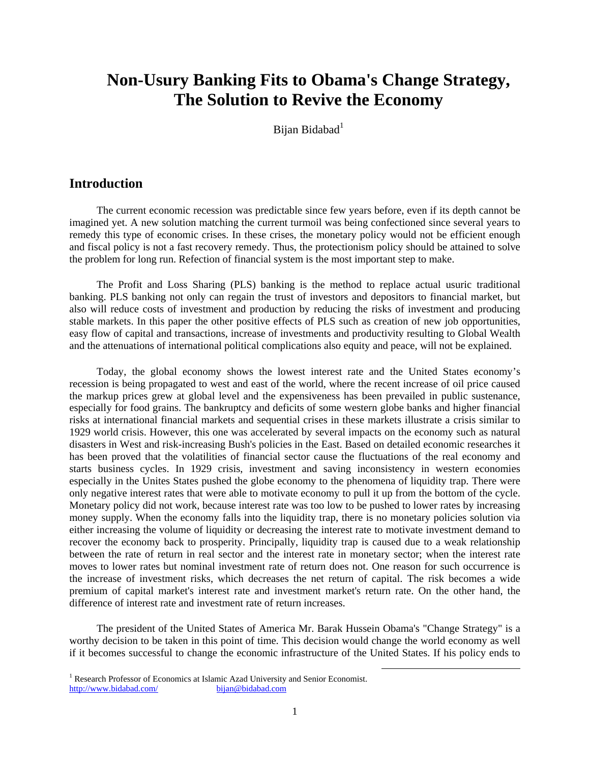# **Non-Usury Banking Fits to Obama's Change Strategy, The Solution to Revive the Economy**

Bijan Bidabad<sup>1</sup>

## **Introduction**

The current economic recession was predictable since few years before, even if its depth cannot be imagined yet. A new solution matching the current turmoil was being confectioned since several years to remedy this type of economic crises. In these crises, the monetary policy would not be efficient enough and fiscal policy is not a fast recovery remedy. Thus, the protectionism policy should be attained to solve the problem for long run. Refection of financial system is the most important step to make.

The Profit and Loss Sharing (PLS) banking is the method to replace actual usuric traditional banking. PLS banking not only can regain the trust of investors and depositors to financial market, but also will reduce costs of investment and production by reducing the risks of investment and producing stable markets. In this paper the other positive effects of PLS such as creation of new job opportunities, easy flow of capital and transactions, increase of investments and productivity resulting to Global Wealth and the attenuations of international political complications also equity and peace, will not be explained.

Today, the global economy shows the lowest interest rate and the United States economy's recession is being propagated to west and east of the world, where the recent increase of oil price caused the markup prices grew at global level and the expensiveness has been prevailed in public sustenance, especially for food grains. The bankruptcy and deficits of some western globe banks and higher financial risks at international financial markets and sequential crises in these markets illustrate a crisis similar to 1929 world crisis. However, this one was accelerated by several impacts on the economy such as natural disasters in West and risk-increasing Bush's policies in the East. Based on detailed economic researches it has been proved that the volatilities of financial sector cause the fluctuations of the real economy and starts business cycles. In 1929 crisis, investment and saving inconsistency in western economies especially in the Unites States pushed the globe economy to the phenomena of liquidity trap. There were only negative interest rates that were able to motivate economy to pull it up from the bottom of the cycle. Monetary policy did not work, because interest rate was too low to be pushed to lower rates by increasing money supply. When the economy falls into the liquidity trap, there is no monetary policies solution via either increasing the volume of liquidity or decreasing the interest rate to motivate investment demand to recover the economy back to prosperity. Principally, liquidity trap is caused due to a weak relationship between the rate of return in real sector and the interest rate in monetary sector; when the interest rate moves to lower rates but nominal investment rate of return does not. One reason for such occurrence is the increase of investment risks, which decreases the net return of capital. The risk becomes a wide premium of capital market's interest rate and investment market's return rate. On the other hand, the difference of interest rate and investment rate of return increases.

The president of the United States of America Mr. Barak Hussein Obama's "Change Strategy" is a worthy decision to be taken in this point of time. This decision would change the world economy as well if it becomes successful to change the economic infrastructure of the United States. If his policy ends to

<sup>1&</sup>lt;br>
<sup>1</sup> Research Professor of Economics at Islamic Azad University and Senior Economist. http://www.bidabad.com/ bijan@bidabad.com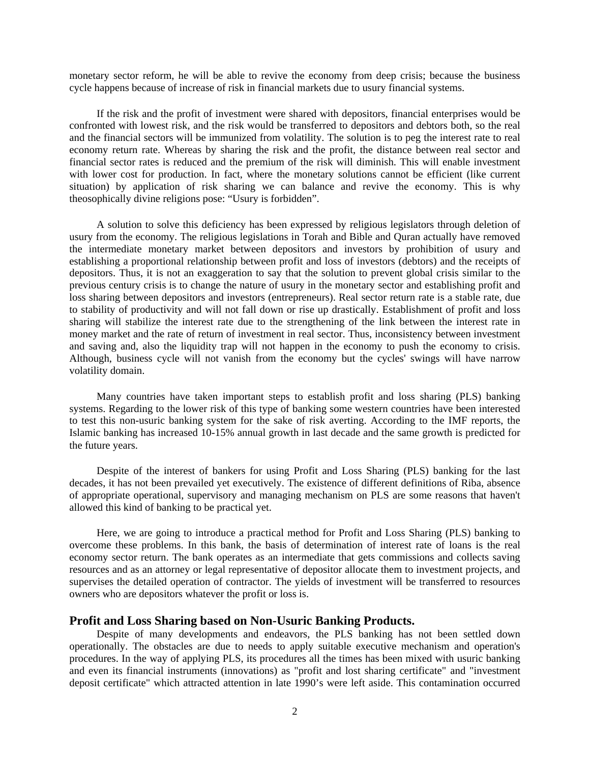monetary sector reform, he will be able to revive the economy from deep crisis; because the business cycle happens because of increase of risk in financial markets due to usury financial systems.

If the risk and the profit of investment were shared with depositors, financial enterprises would be confronted with lowest risk, and the risk would be transferred to depositors and debtors both, so the real and the financial sectors will be immunized from volatility. The solution is to peg the interest rate to real economy return rate. Whereas by sharing the risk and the profit, the distance between real sector and financial sector rates is reduced and the premium of the risk will diminish. This will enable investment with lower cost for production. In fact, where the monetary solutions cannot be efficient (like current situation) by application of risk sharing we can balance and revive the economy. This is why theosophically divine religions pose: "Usury is forbidden".

A solution to solve this deficiency has been expressed by religious legislators through deletion of usury from the economy. The religious legislations in Torah and Bible and Quran actually have removed the intermediate monetary market between depositors and investors by prohibition of usury and establishing a proportional relationship between profit and loss of investors (debtors) and the receipts of depositors. Thus, it is not an exaggeration to say that the solution to prevent global crisis similar to the previous century crisis is to change the nature of usury in the monetary sector and establishing profit and loss sharing between depositors and investors (entrepreneurs). Real sector return rate is a stable rate, due to stability of productivity and will not fall down or rise up drastically. Establishment of profit and loss sharing will stabilize the interest rate due to the strengthening of the link between the interest rate in money market and the rate of return of investment in real sector. Thus, inconsistency between investment and saving and, also the liquidity trap will not happen in the economy to push the economy to crisis. Although, business cycle will not vanish from the economy but the cycles' swings will have narrow volatility domain.

Many countries have taken important steps to establish profit and loss sharing (PLS) banking systems. Regarding to the lower risk of this type of banking some western countries have been interested to test this non-usuric banking system for the sake of risk averting. According to the IMF reports, the Islamic banking has increased 10-15% annual growth in last decade and the same growth is predicted for the future years.

Despite of the interest of bankers for using Profit and Loss Sharing (PLS) banking for the last decades, it has not been prevailed yet executively. The existence of different definitions of Riba, absence of appropriate operational, supervisory and managing mechanism on PLS are some reasons that haven't allowed this kind of banking to be practical yet.

Here, we are going to introduce a practical method for Profit and Loss Sharing (PLS) banking to overcome these problems. In this bank, the basis of determination of interest rate of loans is the real economy sector return. The bank operates as an intermediate that gets commissions and collects saving resources and as an attorney or legal representative of depositor allocate them to investment projects, and supervises the detailed operation of contractor. The yields of investment will be transferred to resources owners who are depositors whatever the profit or loss is.

#### **Profit and Loss Sharing based on Non-Usuric Banking Products.**

Despite of many developments and endeavors, the PLS banking has not been settled down operationally. The obstacles are due to needs to apply suitable executive mechanism and operation's procedures. In the way of applying PLS, its procedures all the times has been mixed with usuric banking and even its financial instruments (innovations) as "profit and lost sharing certificate" and "investment deposit certificate" which attracted attention in late 1990's were left aside. This contamination occurred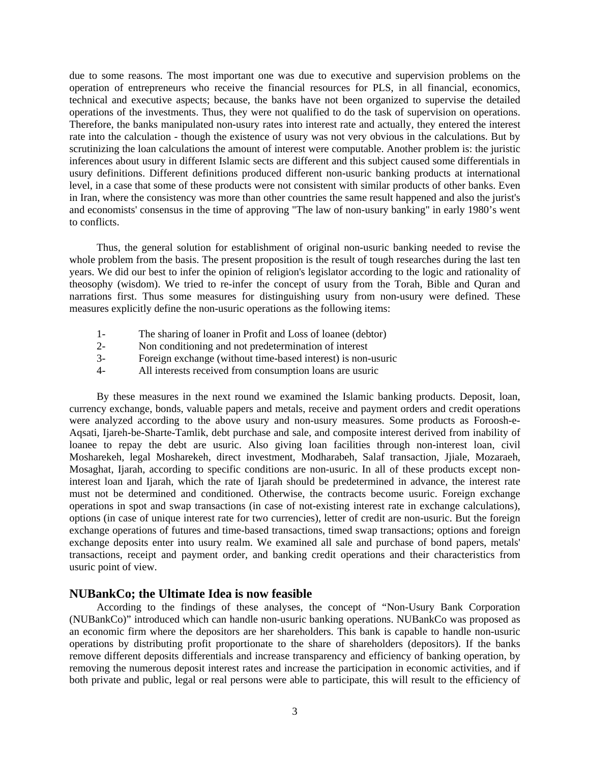due to some reasons. The most important one was due to executive and supervision problems on the operation of entrepreneurs who receive the financial resources for PLS, in all financial, economics, technical and executive aspects; because, the banks have not been organized to supervise the detailed operations of the investments. Thus, they were not qualified to do the task of supervision on operations. Therefore, the banks manipulated non-usury rates into interest rate and actually, they entered the interest rate into the calculation - though the existence of usury was not very obvious in the calculations. But by scrutinizing the loan calculations the amount of interest were computable. Another problem is: the juristic inferences about usury in different Islamic sects are different and this subject caused some differentials in usury definitions. Different definitions produced different non-usuric banking products at international level, in a case that some of these products were not consistent with similar products of other banks. Even in Iran, where the consistency was more than other countries the same result happened and also the jurist's and economists' consensus in the time of approving "The law of non-usury banking" in early 1980's went to conflicts.

Thus, the general solution for establishment of original non-usuric banking needed to revise the whole problem from the basis. The present proposition is the result of tough researches during the last ten years. We did our best to infer the opinion of religion's legislator according to the logic and rationality of theosophy (wisdom). We tried to re-infer the concept of usury from the Torah, Bible and Quran and narrations first. Thus some measures for distinguishing usury from non-usury were defined. These measures explicitly define the non-usuric operations as the following items:

- 1- The sharing of loaner in Profit and Loss of loanee (debtor)
- 2- Non conditioning and not predetermination of interest
- 3- Foreign exchange (without time-based interest) is non-usuric
- 4- All interests received from consumption loans are usuric

By these measures in the next round we examined the Islamic banking products. Deposit, loan, currency exchange, bonds, valuable papers and metals, receive and payment orders and credit operations were analyzed according to the above usury and non-usury measures. Some products as Foroosh-e-Aqsati, Ijareh-be-Sharte-Tamlik, debt purchase and sale, and composite interest derived from inability of loanee to repay the debt are usuric. Also giving loan facilities through non-interest loan, civil Mosharekeh, legal Mosharekeh, direct investment, Modharabeh, Salaf transaction, Jjiale, Mozaraeh, Mosaghat, Ijarah, according to specific conditions are non-usuric. In all of these products except noninterest loan and Ijarah, which the rate of Ijarah should be predetermined in advance, the interest rate must not be determined and conditioned. Otherwise, the contracts become usuric. Foreign exchange operations in spot and swap transactions (in case of not-existing interest rate in exchange calculations), options (in case of unique interest rate for two currencies), letter of credit are non-usuric. But the foreign exchange operations of futures and time-based transactions, timed swap transactions; options and foreign exchange deposits enter into usury realm. We examined all sale and purchase of bond papers, metals' transactions, receipt and payment order, and banking credit operations and their characteristics from usuric point of view.

#### **NUBankCo; the Ultimate Idea is now feasible**

According to the findings of these analyses, the concept of "Non-Usury Bank Corporation (NUBankCo)" introduced which can handle non-usuric banking operations. NUBankCo was proposed as an economic firm where the depositors are her shareholders. This bank is capable to handle non-usuric operations by distributing profit proportionate to the share of shareholders (depositors). If the banks remove different deposits differentials and increase transparency and efficiency of banking operation, by removing the numerous deposit interest rates and increase the participation in economic activities, and if both private and public, legal or real persons were able to participate, this will result to the efficiency of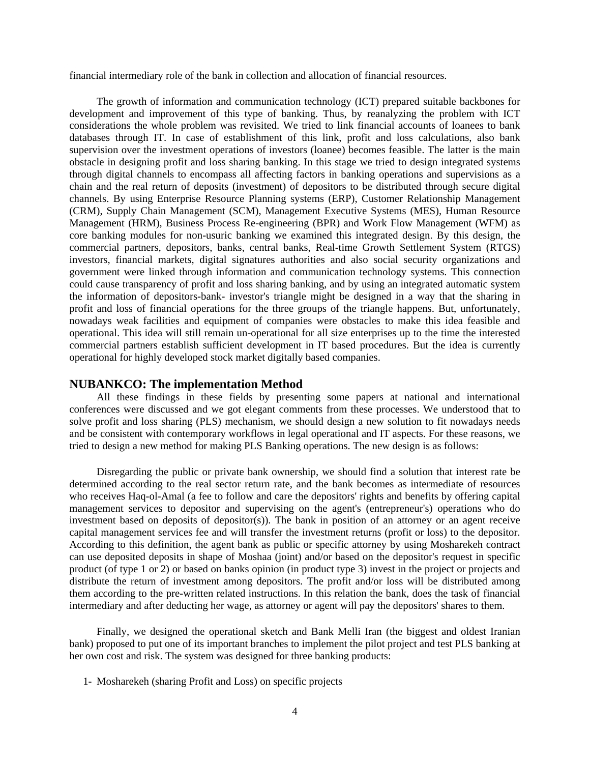financial intermediary role of the bank in collection and allocation of financial resources.

The growth of information and communication technology (ICT) prepared suitable backbones for development and improvement of this type of banking. Thus, by reanalyzing the problem with ICT considerations the whole problem was revisited. We tried to link financial accounts of loanees to bank databases through IT. In case of establishment of this link, profit and loss calculations, also bank supervision over the investment operations of investors (loanee) becomes feasible. The latter is the main obstacle in designing profit and loss sharing banking. In this stage we tried to design integrated systems through digital channels to encompass all affecting factors in banking operations and supervisions as a chain and the real return of deposits (investment) of depositors to be distributed through secure digital channels. By using Enterprise Resource Planning systems (ERP), Customer Relationship Management (CRM), Supply Chain Management (SCM), Management Executive Systems (MES), Human Resource Management (HRM), Business Process Re-engineering (BPR) and Work Flow Management (WFM) as core banking modules for non-usuric banking we examined this integrated design. By this design, the commercial partners, depositors, banks, central banks, Real-time Growth Settlement System (RTGS) investors, financial markets, digital signatures authorities and also social security organizations and government were linked through information and communication technology systems. This connection could cause transparency of profit and loss sharing banking, and by using an integrated automatic system the information of depositors-bank- investor's triangle might be designed in a way that the sharing in profit and loss of financial operations for the three groups of the triangle happens. But, unfortunately, nowadays weak facilities and equipment of companies were obstacles to make this idea feasible and operational. This idea will still remain un-operational for all size enterprises up to the time the interested commercial partners establish sufficient development in IT based procedures. But the idea is currently operational for highly developed stock market digitally based companies.

#### **NUBANKCO: The implementation Method**

All these findings in these fields by presenting some papers at national and international conferences were discussed and we got elegant comments from these processes. We understood that to solve profit and loss sharing (PLS) mechanism, we should design a new solution to fit nowadays needs and be consistent with contemporary workflows in legal operational and IT aspects. For these reasons, we tried to design a new method for making PLS Banking operations. The new design is as follows:

Disregarding the public or private bank ownership, we should find a solution that interest rate be determined according to the real sector return rate, and the bank becomes as intermediate of resources who receives Haq-ol-Amal (a fee to follow and care the depositors' rights and benefits by offering capital management services to depositor and supervising on the agent's (entrepreneur's) operations who do investment based on deposits of depositor(s)). The bank in position of an attorney or an agent receive capital management services fee and will transfer the investment returns (profit or loss) to the depositor. According to this definition, the agent bank as public or specific attorney by using Mosharekeh contract can use deposited deposits in shape of Moshaa (joint) and/or based on the depositor's request in specific product (of type 1 or 2) or based on banks opinion (in product type 3) invest in the project or projects and distribute the return of investment among depositors. The profit and/or loss will be distributed among them according to the pre-written related instructions. In this relation the bank, does the task of financial intermediary and after deducting her wage, as attorney or agent will pay the depositors' shares to them.

Finally, we designed the operational sketch and Bank Melli Iran (the biggest and oldest Iranian bank) proposed to put one of its important branches to implement the pilot project and test PLS banking at her own cost and risk. The system was designed for three banking products:

1- Mosharekeh (sharing Profit and Loss) on specific projects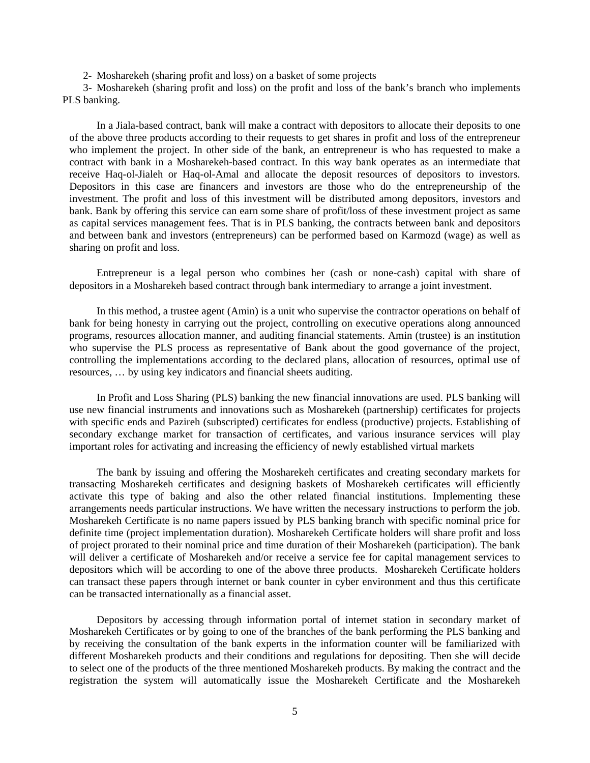2- Mosharekeh (sharing profit and loss) on a basket of some projects

3- Mosharekeh (sharing profit and loss) on the profit and loss of the bank's branch who implements PLS banking.

In a Jiala-based contract, bank will make a contract with depositors to allocate their deposits to one of the above three products according to their requests to get shares in profit and loss of the entrepreneur who implement the project. In other side of the bank, an entrepreneur is who has requested to make a contract with bank in a Mosharekeh-based contract. In this way bank operates as an intermediate that receive Haq-ol-Jialeh or Haq-ol-Amal and allocate the deposit resources of depositors to investors. Depositors in this case are financers and investors are those who do the entrepreneurship of the investment. The profit and loss of this investment will be distributed among depositors, investors and bank. Bank by offering this service can earn some share of profit/loss of these investment project as same as capital services management fees. That is in PLS banking, the contracts between bank and depositors and between bank and investors (entrepreneurs) can be performed based on Karmozd (wage) as well as sharing on profit and loss.

Entrepreneur is a legal person who combines her (cash or none-cash) capital with share of depositors in a Mosharekeh based contract through bank intermediary to arrange a joint investment.

In this method, a trustee agent (Amin) is a unit who supervise the contractor operations on behalf of bank for being honesty in carrying out the project, controlling on executive operations along announced programs, resources allocation manner, and auditing financial statements. Amin (trustee) is an institution who supervise the PLS process as representative of Bank about the good governance of the project, controlling the implementations according to the declared plans, allocation of resources, optimal use of resources, … by using key indicators and financial sheets auditing.

In Profit and Loss Sharing (PLS) banking the new financial innovations are used. PLS banking will use new financial instruments and innovations such as Mosharekeh (partnership) certificates for projects with specific ends and Pazireh (subscripted) certificates for endless (productive) projects. Establishing of secondary exchange market for transaction of certificates, and various insurance services will play important roles for activating and increasing the efficiency of newly established virtual markets

The bank by issuing and offering the Mosharekeh certificates and creating secondary markets for transacting Mosharekeh certificates and designing baskets of Mosharekeh certificates will efficiently activate this type of baking and also the other related financial institutions. Implementing these arrangements needs particular instructions. We have written the necessary instructions to perform the job. Mosharekeh Certificate is no name papers issued by PLS banking branch with specific nominal price for definite time (project implementation duration). Mosharekeh Certificate holders will share profit and loss of project prorated to their nominal price and time duration of their Mosharekeh (participation). The bank will deliver a certificate of Mosharekeh and/or receive a service fee for capital management services to depositors which will be according to one of the above three products. Mosharekeh Certificate holders can transact these papers through internet or bank counter in cyber environment and thus this certificate can be transacted internationally as a financial asset.

Depositors by accessing through information portal of internet station in secondary market of Mosharekeh Certificates or by going to one of the branches of the bank performing the PLS banking and by receiving the consultation of the bank experts in the information counter will be familiarized with different Mosharekeh products and their conditions and regulations for depositing. Then she will decide to select one of the products of the three mentioned Mosharekeh products. By making the contract and the registration the system will automatically issue the Mosharekeh Certificate and the Mosharekeh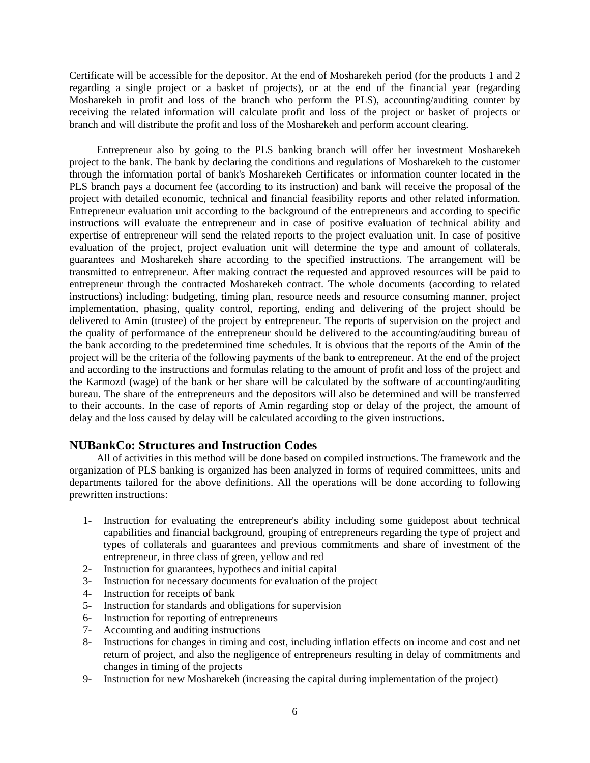Certificate will be accessible for the depositor. At the end of Mosharekeh period (for the products 1 and 2 regarding a single project or a basket of projects), or at the end of the financial year (regarding Mosharekeh in profit and loss of the branch who perform the PLS), accounting/auditing counter by receiving the related information will calculate profit and loss of the project or basket of projects or branch and will distribute the profit and loss of the Mosharekeh and perform account clearing.

Entrepreneur also by going to the PLS banking branch will offer her investment Mosharekeh project to the bank. The bank by declaring the conditions and regulations of Mosharekeh to the customer through the information portal of bank's Mosharekeh Certificates or information counter located in the PLS branch pays a document fee (according to its instruction) and bank will receive the proposal of the project with detailed economic, technical and financial feasibility reports and other related information. Entrepreneur evaluation unit according to the background of the entrepreneurs and according to specific instructions will evaluate the entrepreneur and in case of positive evaluation of technical ability and expertise of entrepreneur will send the related reports to the project evaluation unit. In case of positive evaluation of the project, project evaluation unit will determine the type and amount of collaterals, guarantees and Mosharekeh share according to the specified instructions. The arrangement will be transmitted to entrepreneur. After making contract the requested and approved resources will be paid to entrepreneur through the contracted Mosharekeh contract. The whole documents (according to related instructions) including: budgeting, timing plan, resource needs and resource consuming manner, project implementation, phasing, quality control, reporting, ending and delivering of the project should be delivered to Amin (trustee) of the project by entrepreneur. The reports of supervision on the project and the quality of performance of the entrepreneur should be delivered to the accounting/auditing bureau of the bank according to the predetermined time schedules. It is obvious that the reports of the Amin of the project will be the criteria of the following payments of the bank to entrepreneur. At the end of the project and according to the instructions and formulas relating to the amount of profit and loss of the project and the Karmozd (wage) of the bank or her share will be calculated by the software of accounting/auditing bureau. The share of the entrepreneurs and the depositors will also be determined and will be transferred to their accounts. In the case of reports of Amin regarding stop or delay of the project, the amount of delay and the loss caused by delay will be calculated according to the given instructions.

### **NUBankCo: Structures and Instruction Codes**

All of activities in this method will be done based on compiled instructions. The framework and the organization of PLS banking is organized has been analyzed in forms of required committees, units and departments tailored for the above definitions. All the operations will be done according to following prewritten instructions:

- 1- Instruction for evaluating the entrepreneur's ability including some guidepost about technical capabilities and financial background, grouping of entrepreneurs regarding the type of project and types of collaterals and guarantees and previous commitments and share of investment of the entrepreneur, in three class of green, yellow and red
- 2- Instruction for guarantees, hypothecs and initial capital
- 3- Instruction for necessary documents for evaluation of the project
- 4- Instruction for receipts of bank
- 5- Instruction for standards and obligations for supervision
- 6- Instruction for reporting of entrepreneurs
- 7- Accounting and auditing instructions
- 8- Instructions for changes in timing and cost, including inflation effects on income and cost and net return of project, and also the negligence of entrepreneurs resulting in delay of commitments and changes in timing of the projects
- 9- Instruction for new Mosharekeh (increasing the capital during implementation of the project)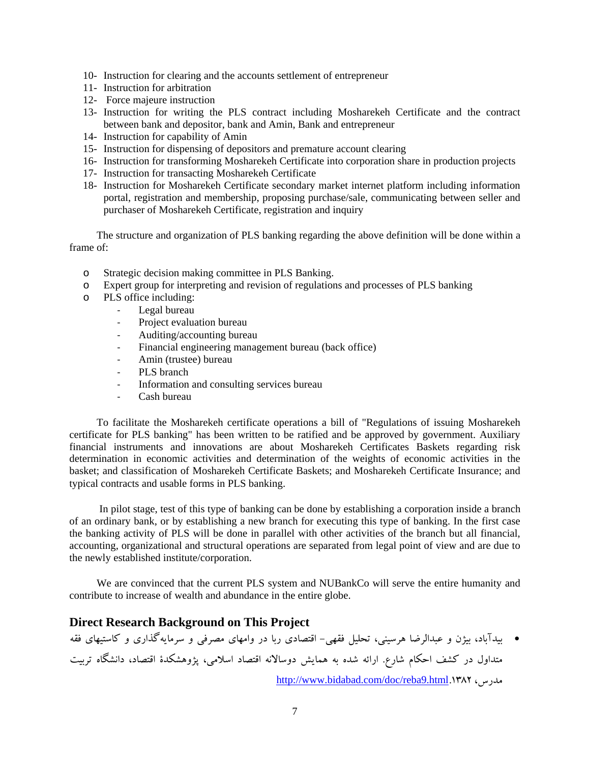- 10- Instruction for clearing and the accounts settlement of entrepreneur
- 11- Instruction for arbitration
- 12- Force majeure instruction
- 13- Instruction for writing the PLS contract including Mosharekeh Certificate and the contract between bank and depositor, bank and Amin, Bank and entrepreneur
- 14- Instruction for capability of Amin
- 15- Instruction for dispensing of depositors and premature account clearing
- 16- Instruction for transforming Mosharekeh Certificate into corporation share in production projects
- 17- Instruction for transacting Mosharekeh Certificate
- 18- Instruction for Mosharekeh Certificate secondary market internet platform including information portal, registration and membership, proposing purchase/sale, communicating between seller and purchaser of Mosharekeh Certificate, registration and inquiry

The structure and organization of PLS banking regarding the above definition will be done within a frame of:

- o Strategic decision making committee in PLS Banking.
- o Expert group for interpreting and revision of regulations and processes of PLS banking
- o PLS office including:
	- ‐ Legal bureau
	- ‐ Project evaluation bureau
	- ‐ Auditing/accounting bureau
	- ‐ Financial engineering management bureau (back office)
	- ‐ Amin (trustee) bureau
	- PLS branch
	- ‐ Information and consulting services bureau
	- ‐ Cash bureau

To facilitate the Mosharekeh certificate operations a bill of "Regulations of issuing Mosharekeh certificate for PLS banking" has been written to be ratified and be approved by government. Auxiliary financial instruments and innovations are about Mosharekeh Certificates Baskets regarding risk determination in economic activities and determination of the weights of economic activities in the basket; and classification of Mosharekeh Certificate Baskets; and Mosharekeh Certificate Insurance; and typical contracts and usable forms in PLS banking.

 In pilot stage, test of this type of banking can be done by establishing a corporation inside a branch of an ordinary bank, or by establishing a new branch for executing this type of banking. In the first case the banking activity of PLS will be done in parallel with other activities of the branch but all financial, accounting, organizational and structural operations are separated from legal point of view and are due to the newly established institute/corporation.

We are convinced that the current PLS system and NUBankCo will serve the entire humanity and contribute to increase of wealth and abundance in the entire globe.

## **Direct Research Background on This Project**

• بيدآباد، بيژن و عبدالرضا هرسيني، تحليل فقهي- اقتصادي ربا در وامهاي مصرفي و سرمايهگذاري و كاستيهاي فقه متداول در كشف احكام شارع. ارائه شده به همايش دوسالانه اقتصاد اسلامي، پژوهشكدة اقتصاد، دانشگاه تربيت http://www.bidabad.com/doc/reba9.html.1382 ،مدرس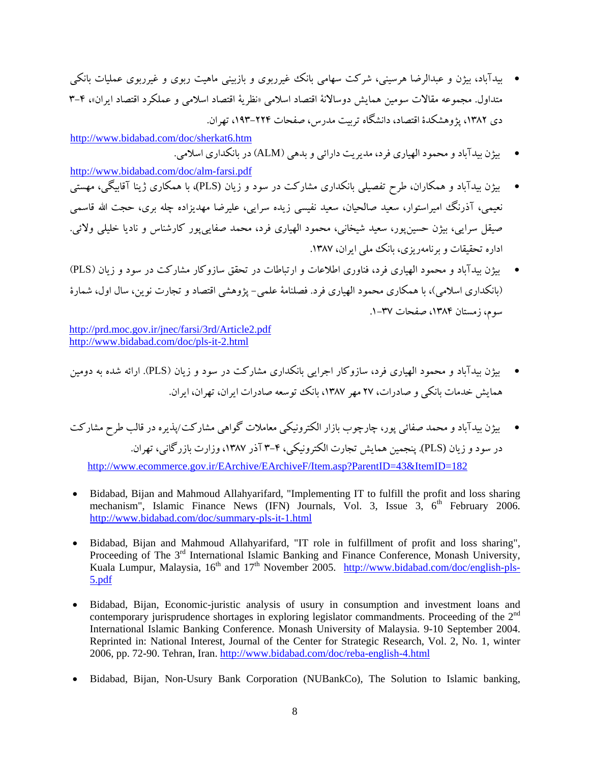• بيدآباد، بيژن و عبدالرضا هرسيني، شركت سهامي بانك غيرربوي و بازبيني ماهيت ربوي و غيرربوي عمليات بانكي متداول. مجموعه مقالات سومين همايش دوسالانة اقتصاد اسلامي «نظرية اقتصاد اسلامي و عملكرد اقتصاد ايران»، 3-4 دي ،1382 پژوهشكدة اقتصاد، دانشگاه تربيت مدرس، صفحات ،193-224 تهران.

http://www.bidabad.com/doc/sherkat6.htm

- بيژن بيدآباد ومحمود الهياري فرد، مديريت دارائي و بدهي (ALM (در بانكداري اسلامي.
- http://www.bidabad.com/doc/alm-farsi.pdf • بيژن بيدآباد و همكاران، طرح تفصيلي بانكداري مشاركت در سود و زيان (PLS(، با همكاري ژينا آقابيگي، مهستي نعيمي، آذرنگ اميراستوار، سعيد صالحيان، سعيد نفيسي زيده سرايي، عليرضا مهديزاده چله بري، حجت االله قاسمي صيقل سرايي، بيژن حسينپور، سعيد شيخاني، محمود الهياري فرد، محمد صفاييپور كارشناس و ناديا خليلي ولائي. اداره تحقيقات و برنامهريزي، بانك ملي ايران، ١٣٨٧.
- بيژن بيدآباد و محمود الهياري فرد، فناوري اطلاعات و ارتباطات در تحقق سازوكار مشاركت در سود و زيان (PLS ( (بانكداري اسلامي)، با همكاري محمود الهياري فرد. فصلنامة علمي- پژوهشي اقتصاد و تجارت نوين، سال اول، شمارة سوم، زمستان ۱۳۸۴، صفحات ۳۷-۱.

http://prd.moc.gov.ir/jnec/farsi/3rd/Article2.pdf http://www.bidabad.com/doc/pls-it-2.html

- بيژن بيدآباد و محمود الهياري فرد، سازوكار اجرايي بانكداري مشاركت در سود و زيان (PLS(. ارائه شده به دومين همايش خدمات بانكي و صادرات، 27 مهر ،1387 بانك توسعه صادرات ايران، تهران، ايران.
- بيژن بيدآباد و محمد صفائي پور، چارچوب بازار الكترونيكي معاملات گواهي مشاركت/پذيره در قالب طرح مشاركت در سود و زيان (PLS(. پنجمين همايش تجارت الكترونيكي، 3-4 آذر ،1387وزارت بازرگاني، تهران. http://www.ecommerce.gov.ir/EArchive/EArchiveF/Item.asp?ParentID=43&ItemID=182
- Bidabad, Bijan and Mahmoud Allahyarifard, "Implementing IT to fulfill the profit and loss sharing mechanism", Islamic Finance News (IFN) Journals, Vol. 3, Issue  $3, 6<sup>th</sup>$  February 2006. http://www.bidabad.com/doc/summary-pls-it-1.html
- Bidabad, Bijan and Mahmoud Allahyarifard, "IT role in fulfillment of profit and loss sharing", Proceeding of The 3<sup>rd</sup> International Islamic Banking and Finance Conference, Monash University, Kuala Lumpur, Malaysia,  $16^{th}$  and  $17^{th}$  November 2005. http://www.bidabad.com/doc/english-pls-5.pdf
- Bidabad, Bijan, Economic-juristic analysis of usury in consumption and investment loans and contemporary jurisprudence shortages in exploring legislator commandments. Proceeding of the  $2<sup>nd</sup>$ International Islamic Banking Conference. Monash University of Malaysia. 9-10 September 2004. Reprinted in: National Interest, Journal of the Center for Strategic Research, Vol. 2, No. 1, winter 2006, pp. 72-90. Tehran, Iran. http://www.bidabad.com/doc/reba-english-4.html
- Bidabad, Bijan, Non-Usury Bank Corporation (NUBankCo), The Solution to Islamic banking,